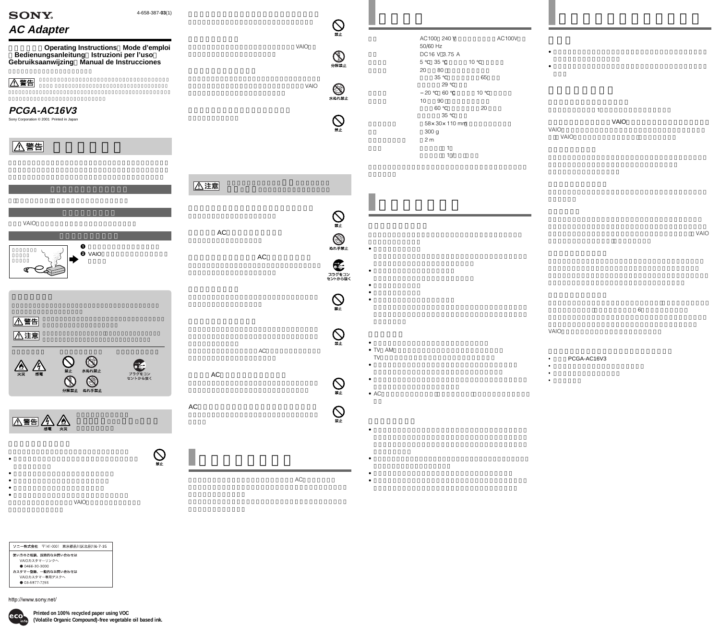# **AC Adapter**

**取扱説明書/Operating Instructions Mode d'emploi Bedienungsanleitung Istruzioni per l'uso Gebruiksaanwijzing Manual de Instrucciones**



TV STREET STREET ALL THE STREET AND THE STREET AND THE STREET AND THE STREET AND THE STREET AND THE STREET AND • 使用後は必ず電源コードをコンセントから抜いておいてください。

 $\bullet$  -  $\bullet$  -  $\bullet$  -  $\bullet$  -  $\bullet$  -  $\bullet$  -  $\bullet$  -  $\bullet$  -  $\bullet$  -  $\bullet$  -  $\bullet$  -  $\bullet$  -  $\bullet$  -  $\bullet$  -  $\bullet$  -  $\bullet$  -  $\bullet$  -  $\bullet$  -  $\bullet$  -  $\bullet$  -  $\bullet$  -  $\bullet$  -  $\bullet$  -  $\bullet$  -  $\bullet$  -  $\bullet$  -  $\bullet$  -  $\bullet$  -  $\bullet$  -  $\bullet$  -  $\bullet$  -  $\bullet$ 

• AC $\overline{C}$ 

|                | AC100 240 V<br>50/60 Hz |    | <b>AC100V</b> |
|----------------|-------------------------|----|---------------|
|                | DC16 V 3.75 A           |    |               |
| 5              | 35                      | 10 |               |
| 20             | 80                      |    |               |
|                | 35                      | 65 |               |
|                | 29                      |    |               |
|                | 60<br>20                | 10 |               |
| 10             | 90                      |    |               |
|                | 60                      | 20 |               |
|                | 35                      |    |               |
| 58× 30× 110 mm |                         |    |               |
| 300 g          |                         |    |               |
|                | 2 <sub>m</sub>          |    |               |
| 1              |                         |    |               |
|                | 1                       |    |               |

 $\bigotimes_{\sharp\mathbb{L}}$ **AD** 玉 スラグをコン<br>セントから抜く  $\bigotimes_{\# \mathbb{L}}$  $\bigotimes_{\scriptscriptstyle\# \mathbb{L}}$  $\bigotimes_{\ast\atop\ast\ast}$ 

 $\bigotimes_{\scriptscriptstyle\# \mathbb{L}}$ 

•  $\blacksquare$ 

 $\bullet$  $\bullet$ 

 $\bullet$  TV AM

 $\bullet$ 

 $\bullet$ 

 $\bullet$ 

 $\bullet$  +  $\bullet$  +  $\bullet$  +  $\bullet$  +  $\bullet$  +  $\bullet$  +  $\bullet$  +  $\bullet$  +  $\bullet$  +  $\bullet$  +  $\bullet$  +  $\bullet$  +  $\bullet$  +  $\bullet$  +  $\bullet$  +  $\bullet$  +  $\bullet$  +  $\bullet$  +  $\bullet$  +  $\bullet$  +  $\bullet$  +  $\bullet$  +  $\bullet$  +  $\bullet$  +  $\bullet$  +  $\bullet$  +  $\bullet$  +  $\bullet$  +  $\bullet$  +  $\bullet$  +  $\bullet$  +  $\bullet$ • 殺虫剤のような揮発性のものをかけたり、ゴムやビニール製品に長時間  $\bullet$  -  $\bullet$  -  $\bullet$  -  $\bullet$  -  $\bullet$  -  $\bullet$  -  $\bullet$  -  $\bullet$  -  $\bullet$  -  $\bullet$  -  $\bullet$  -  $\bullet$  -  $\bullet$  -  $\bullet$  -  $\bullet$  -  $\bullet$  -  $\bullet$  -  $\bullet$  -  $\bullet$  -  $\bullet$  -  $\bullet$  -  $\bullet$  -  $\bullet$  -  $\bullet$  -  $\bullet$  -  $\bullet$  -  $\bullet$  -  $\bullet$  -  $\bullet$  -  $\bullet$  -  $\bullet$  -  $\bullet$  $\bullet$  and  $\bullet$  and  $\bullet$  and  $\bullet$  and  $\bullet$  and  $\bullet$  and  $\bullet$  and  $\bullet$  and  $\bullet$  and  $\bullet$  and  $\bullet$  and  $\bullet$  and  $\bullet$  and  $\bullet$ 

 $1$ VAIO VAIO VAIO

 $6\,$ VAIO

## PCGA-AC16V3

- $\bullet$
- $\bullet$   $\bullet$   $\bullet$   $\bullet$   $\bullet$   $\bullet$   $\bullet$

 $\bullet$ 

 $VAIO$ 



 $\bullet$ • 電源コードを抜くときは、必ずプラグを持って抜く。 VAIO

ソニー株式会社 〒141-0001 東京都品川区北品川6-7-35 使い方のご相談、技術的なお問い合わせは VAIOカスタマーリンクへ ● 0466-30-3000 カスタマー登録、一般的なお問い合わせは - VAIOカスタマー専用デスクへ ● 03-5977-7255

http://www.sony.net/



• 汚れがついたときは、柔らかい布やティッシュペーパーなどで、きれい

 $\bullet$  -  $\bullet$  -  $\bullet$  -  $\bullet$  -  $\bullet$  -  $\bullet$  -  $\bullet$  -  $\bullet$  -  $\bullet$  -  $\bullet$  -  $\bullet$  -  $\bullet$  -  $\bullet$  -  $\bullet$  -  $\bullet$  -  $\bullet$  -  $\bullet$  -  $\bullet$  -  $\bullet$  -  $\bullet$  -  $\bullet$  -  $\bullet$  -  $\bullet$  -  $\bullet$  -  $\bullet$  -  $\bullet$  -  $\bullet$  -  $\bullet$  -  $\bullet$  -  $\bullet$  -  $\bullet$  -  $\bullet$ 

Sony Corporation © 2001 Printed in Japan **PCGA-AC16V3**